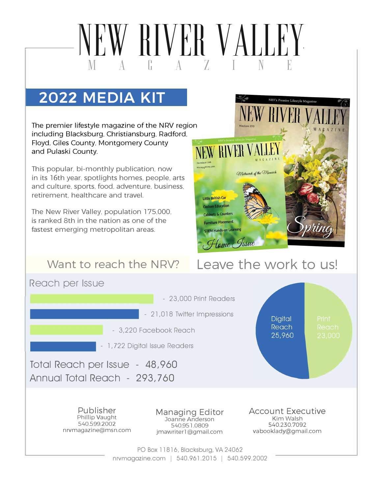# **2022 MEDIA KIT**

The premier lifestyle magazine of the NRV region including Blacksburg. Christiansburg. Radford. Floyd, Giles County. Montgomery County and Pulaski County.

This popular. bi-monthly publication. now in its 16th year. spotlights homes. people. arts and culture. sports. food. adventure. business. retirement. healthcare and travel.

The New River Valley. population 175.000. is ranked 8th in the nation as one of the fastest emerging metropolitan areas.

## **Want to reach the NRV?**



# **Leave the work to us!**



.-----NEW RIVER VALLEY-------.

M A G A Z I N E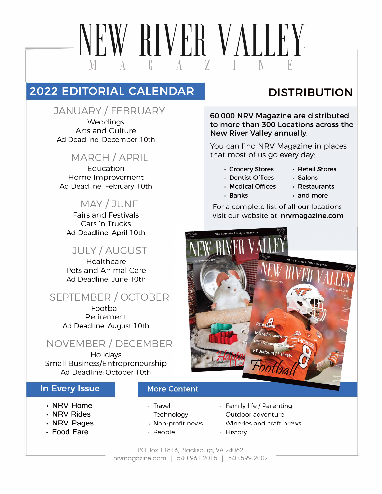# NEW RIVER VALLEY M A G A z <sup>I</sup>N E

## **2022 EDITORIAL CALENDAR**

#### JANUARY/FEBRUARY

Weddings Arts and Culture Ad Deadline: December l 0th

### MARCH/ APRIL

Education Home Improvement Ad Deadline: February l 0th

#### MAY/ JUNE

Fairs and Festivals Cars ·n Trucks Ad Deadline: April 10th

## JULY/ AUGUST

**Healthcare** Pets and Animal Care Ad Deadline: June 10th

## SEPTEMBER/ OCTOBER

Football Retirement Ad Deadline: August l 0th

### NOVEMBER/DECEMBER

**Holidays** Small Business/Entrepreneurship Ad Deadline: October l 0th

#### **In Every Issue**

- **·** NRV Home
- **·** NRV Rides
- **·** NRV Pages
- **•** Food Fare

#### **More Content**

- Travel
- Technology
- Non-profit news
- People

#### • Family life/ Parenting

- Outdoor adventure
- Wineries and craft brews
- History

#### PO Box 11816, Blacksburg, VA 24062 nrvmagazine.com | 540.961.2015 | 540.599.2002

# **DISTRIBUTION**

**60,000 NRV Magazine are distributed to more than 300 Locations across the New River Valley annually.** 

You can find NRV Magazine in places that most of us go every day:

- **• Grocery Stores • Retail Stores**
	-
- **• Dentist Offices Salons • Medical Offices • Restaurants**
	-
- **Banks • and more**

For a complete list of all our locations visit our website at: **nrvmagazine.com**